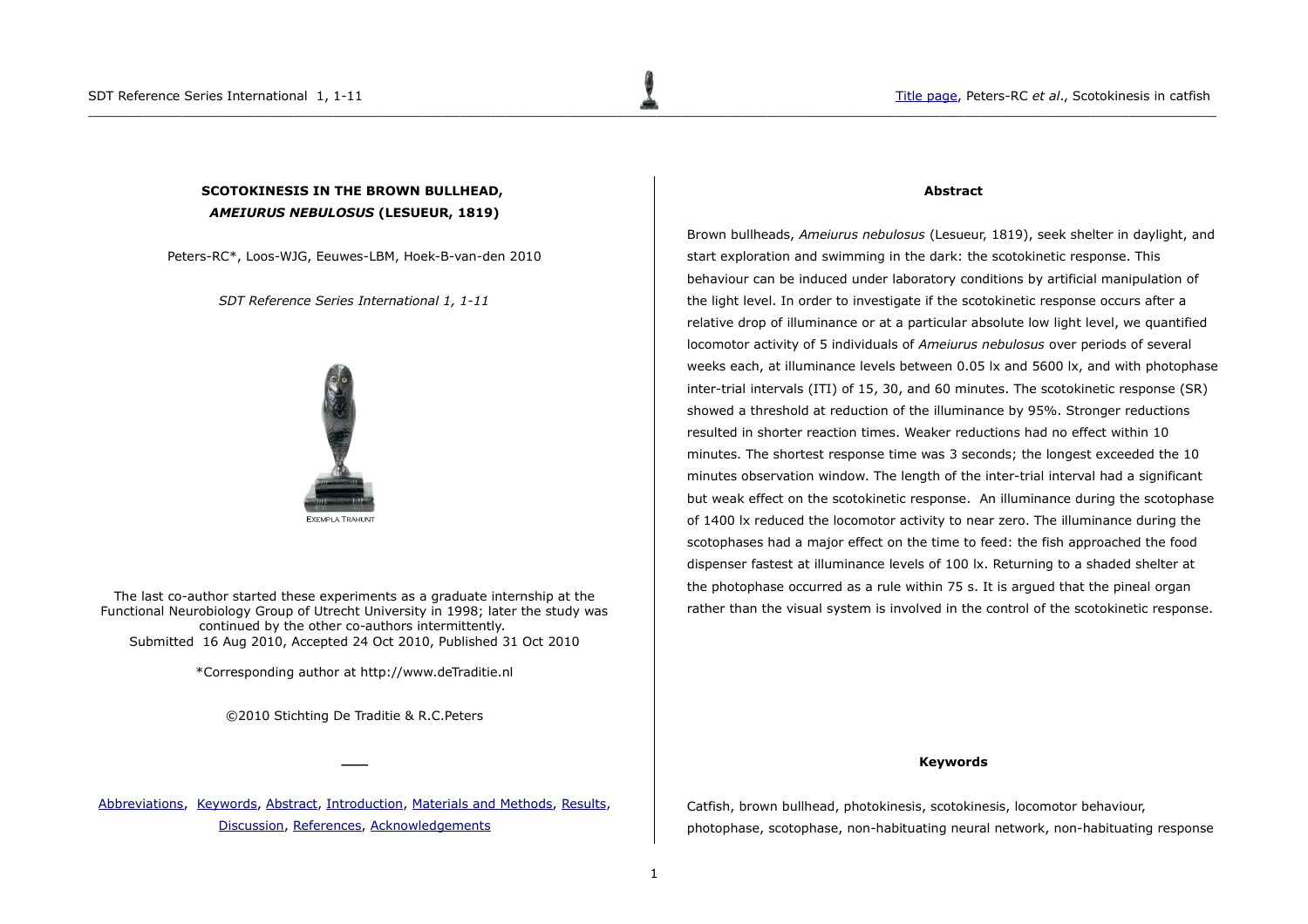# <span id="page-0-0"></span>**SCOTOKINESIS IN THE BROWN BULLHEAD,**  *AMEIURUS NEBULOSUS* **(LESUEUR, 1819)**

Peters-RC\*, Loos-WJG, Eeuwes-LBM, Hoek-B-van-den 2010

*SDT Reference Series International 1, 1-11*



The last co-author started these experiments as a graduate internship at the Functional Neurobiology Group of Utrecht University in 1998; later the study was continued by the other co-authors intermittently. Submitted 16 Aug 2010, Accepted 24 Oct 2010, Published 31 Oct 2010

\*Corresponding author at http://www.deTraditie.nl

©2010 Stichting De Traditie & R.C.Peters

**\_\_\_**

[Abbreviations,](#page-1-1) [Keywords,](#page-0-2) [Abstract,](#page-0-1) [Introduction,](#page-1-0) [Materials and Methods,](#page-2-0) [Results,](#page-3-0) [Discussion,](#page-7-0) [References,](#page-8-1) [Acknowledgements](#page-8-0)

### <span id="page-0-1"></span>**Abstract**

Brown bullheads, *Ameiurus nebulosus* (Lesueur, 1819), seek shelter in daylight, and start exploration and swimming in the dark: the scotokinetic response. This behaviour can be induced under laboratory conditions by artificial manipulation of the light level. In order to investigate if the scotokinetic response occurs after a relative drop of illuminance or at a particular absolute low light level, we quantified locomotor activity of 5 individuals of *Ameiurus nebulosus* over periods of several weeks each, at illuminance levels between 0.05 lx and 5600 lx, and with photophase inter-trial intervals (ITI) of 15, 30, and 60 minutes. The scotokinetic response (SR) showed a threshold at reduction of the illuminance by 95%. Stronger reductions resulted in shorter reaction times. Weaker reductions had no effect within 10 minutes. The shortest response time was 3 seconds; the longest exceeded the 10 minutes observation window. The length of the inter-trial interval had a significant but weak effect on the scotokinetic response. An illuminance during the scotophase of 1400 lx reduced the locomotor activity to near zero. The illuminance during the scotophases had a major effect on the time to feed: the fish approached the food dispenser fastest at illuminance levels of 100 lx. Returning to a shaded shelter at the photophase occurred as a rule within 75 s. It is argued that the pineal organ rather than the visual system is involved in the control of the scotokinetic response.

### <span id="page-0-2"></span>**Keywords**

Catfish, brown bullhead, photokinesis, scotokinesis, locomotor behaviour, photophase, scotophase, non-habituating neural network, non-habituating response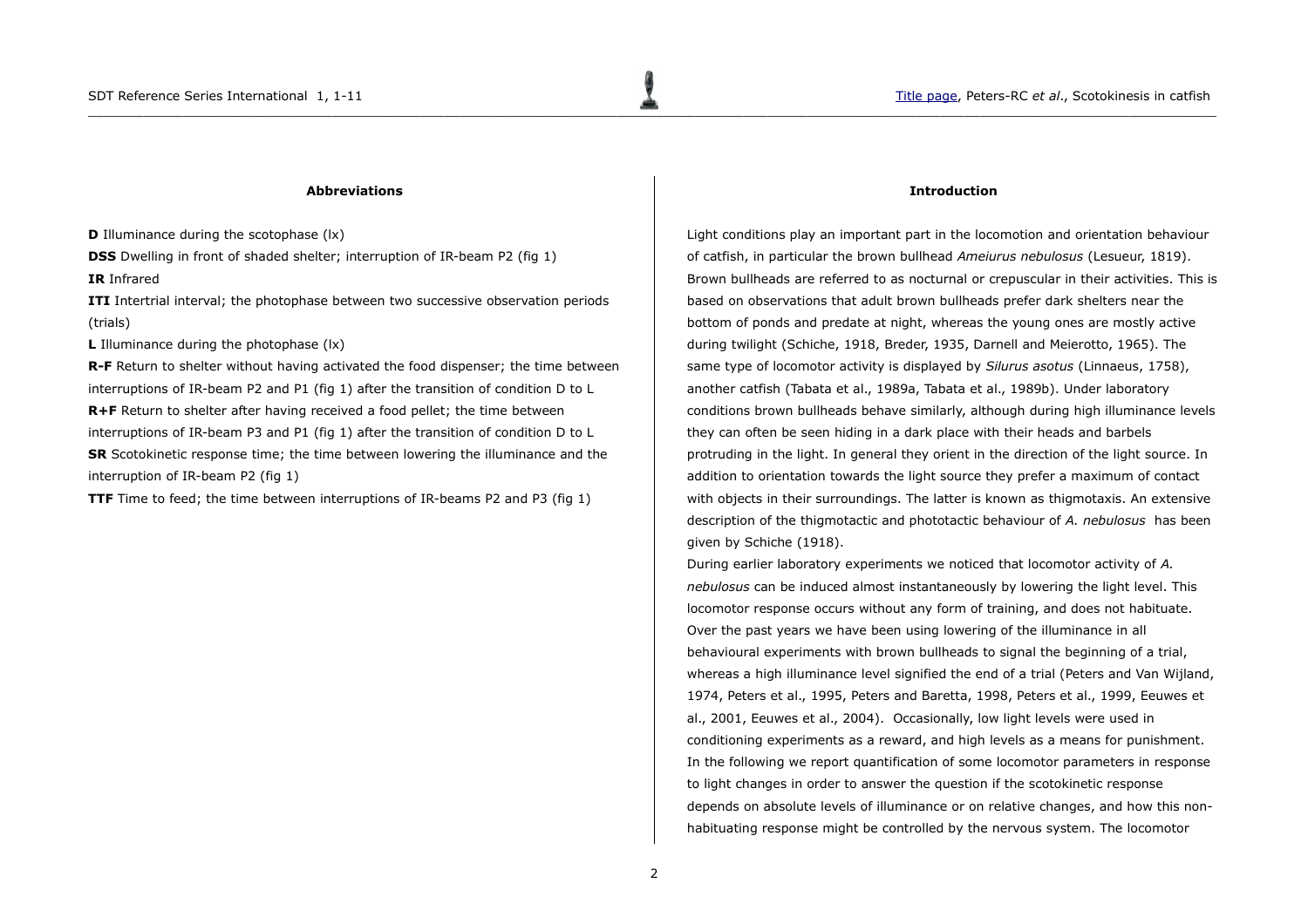### <span id="page-1-1"></span>**Abbreviations**

**D** Illuminance during the scotophase (lx)

**DSS** Dwelling in front of shaded shelter; interruption of IR-beam P2 (fig 1)

**IR** Infrared

**ITI** Intertrial interval; the photophase between two successive observation periods (trials)

**L** Illuminance during the photophase (lx)

**R-F** Return to shelter without having activated the food dispenser; the time between interruptions of IR-beam P2 and P1 (fig 1) after the transition of condition D to L **R+F** Return to shelter after having received a food pellet; the time between

interruptions of IR-beam P3 and P1 (fig 1) after the transition of condition D to L **SR** Scotokinetic response time; the time between lowering the illuminance and the interruption of IR-beam P2 (fig 1)

**TTF** Time to feed; the time between interruptions of IR-beams P2 and P3 (fig 1)

### <span id="page-1-0"></span>**Introduction**

Light conditions play an important part in the locomotion and orientation behaviour of catfish, in particular the brown bullhead *Ameiurus nebulosus* (Lesueur, 1819). Brown bullheads are referred to as nocturnal or crepuscular in their activities. This is based on observations that adult brown bullheads prefer dark shelters near the bottom of ponds and predate at night, whereas the young ones are mostly active during twilight (Schiche, 1918, Breder, 1935, Darnell and Meierotto, 1965). The same type of locomotor activity is displayed by *Silurus asotus* (Linnaeus, 1758), another catfish (Tabata et al., 1989a, Tabata et al., 1989b). Under laboratory conditions brown bullheads behave similarly, although during high illuminance levels they can often be seen hiding in a dark place with their heads and barbels protruding in the light. In general they orient in the direction of the light source. In addition to orientation towards the light source they prefer a maximum of contact with objects in their surroundings. The latter is known as thigmotaxis. An extensive description of the thigmotactic and phototactic behaviour of *A. nebulosus* has been given by Schiche (1918).

During earlier laboratory experiments we noticed that locomotor activity of *A. nebulosus* can be induced almost instantaneously by lowering the light level. This locomotor response occurs without any form of training, and does not habituate. Over the past years we have been using lowering of the illuminance in all behavioural experiments with brown bullheads to signal the beginning of a trial, whereas a high illuminance level signified the end of a trial (Peters and Van Wijland, 1974, Peters et al., 1995, Peters and Baretta, 1998, Peters et al., 1999, Eeuwes et al., 2001, Eeuwes et al., 2004). Occasionally, low light levels were used in conditioning experiments as a reward, and high levels as a means for punishment. In the following we report quantification of some locomotor parameters in response to light changes in order to answer the question if the scotokinetic response depends on absolute levels of illuminance or on relative changes, and how this nonhabituating response might be controlled by the nervous system. The locomotor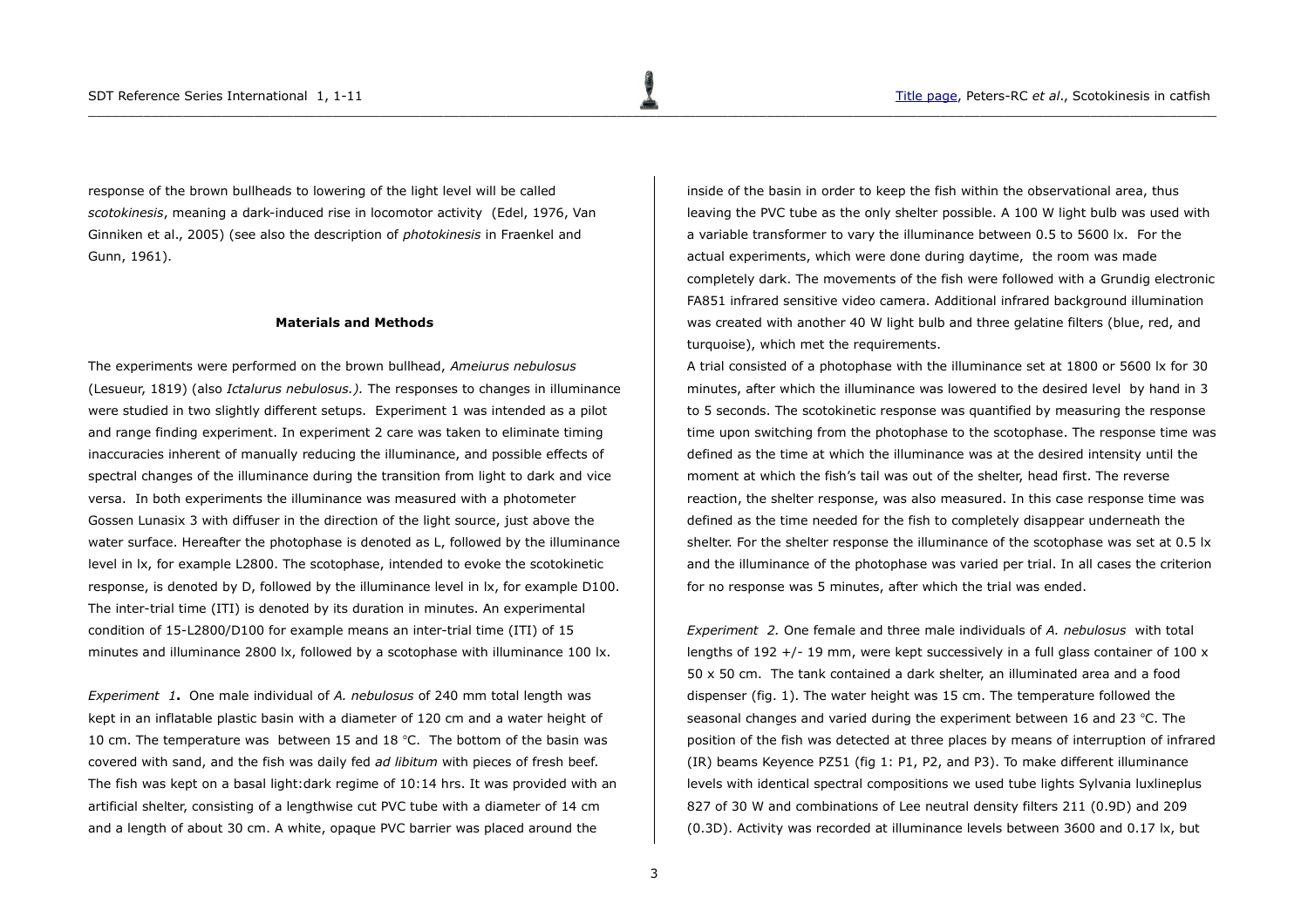response of the brown bullheads to lowering of the light level will be called *scotokinesis*, meaning a dark-induced rise in locomotor activity (Edel, 1976, Van Ginniken et al., 2005) (see also the description of *photokinesis* in Fraenkel and Gunn, 1961).

### <span id="page-2-0"></span>**Materials and Methods**

The experiments were performed on the brown bullhead, *Ameiurus nebulosus* (Lesueur, 1819) (also *Ictalurus nebulosus.).* The responses to changes in illuminance were studied in two slightly different setups. Experiment 1 was intended as a pilot and range finding experiment. In experiment 2 care was taken to eliminate timing inaccuracies inherent of manually reducing the illuminance, and possible effects of spectral changes of the illuminance during the transition from light to dark and vice versa. In both experiments the illuminance was measured with a photometer Gossen Lunasix 3 with diffuser in the direction of the light source, just above the water surface. Hereafter the photophase is denoted as L, followed by the illuminance level in lx, for example L2800. The scotophase, intended to evoke the scotokinetic response, is denoted by D, followed by the illuminance level in lx, for example D100. The inter-trial time (ITI) is denoted by its duration in minutes. An experimental condition of 15-L2800/D100 for example means an inter-trial time (ITI) of 15 minutes and illuminance 2800 lx, followed by a scotophase with illuminance 100 lx.

*Experiment 1***.** One male individual of *A. nebulosus* of 240 mm total length was kept in an inflatable plastic basin with a diameter of 120 cm and a water height of 10 cm. The temperature was between 15 and 18 °C. The bottom of the basin was covered with sand, and the fish was daily fed *ad libitum* with pieces of fresh beef. The fish was kept on a basal light:dark regime of 10:14 hrs. It was provided with an artificial shelter, consisting of a lengthwise cut PVC tube with a diameter of 14 cm and a length of about 30 cm. A white, opaque PVC barrier was placed around the

inside of the basin in order to keep the fish within the observational area, thus leaving the PVC tube as the only shelter possible. A 100 W light bulb was used with a variable transformer to vary the illuminance between 0.5 to 5600 lx. For the actual experiments, which were done during daytime, the room was made completely dark. The movements of the fish were followed with a Grundig electronic FA851 infrared sensitive video camera. Additional infrared background illumination was created with another 40 W light bulb and three gelatine filters (blue, red, and turquoise), which met the requirements.

A trial consisted of a photophase with the illuminance set at 1800 or 5600 lx for 30 minutes, after which the illuminance was lowered to the desired level by hand in 3 to 5 seconds. The scotokinetic response was quantified by measuring the response time upon switching from the photophase to the scotophase. The response time was defined as the time at which the illuminance was at the desired intensity until the moment at which the fish's tail was out of the shelter, head first. The reverse reaction, the shelter response, was also measured. In this case response time was defined as the time needed for the fish to completely disappear underneath the shelter. For the shelter response the illuminance of the scotophase was set at 0.5 lx and the illuminance of the photophase was varied per trial. In all cases the criterion for no response was 5 minutes, after which the trial was ended.

*Experiment 2.* One female and three male individuals of *A. nebulosus* with total lengths of 192 +/- 19 mm, were kept successively in a full glass container of 100  $\times$ 50 x 50 cm. The tank contained a dark shelter, an illuminated area and a food dispenser (fig. 1). The water height was 15 cm. The temperature followed the seasonal changes and varied during the experiment between 16 and 23  $^{\circ}$ C. The position of the fish was detected at three places by means of interruption of infrared (IR) beams Keyence PZ51 (fig 1: P1, P2, and P3). To make different illuminance levels with identical spectral compositions we used tube lights Sylvania luxlineplus 827 of 30 W and combinations of Lee neutral density filters 211 (0.9D) and 209 (0.3D). Activity was recorded at illuminance levels between 3600 and 0.17 lx, but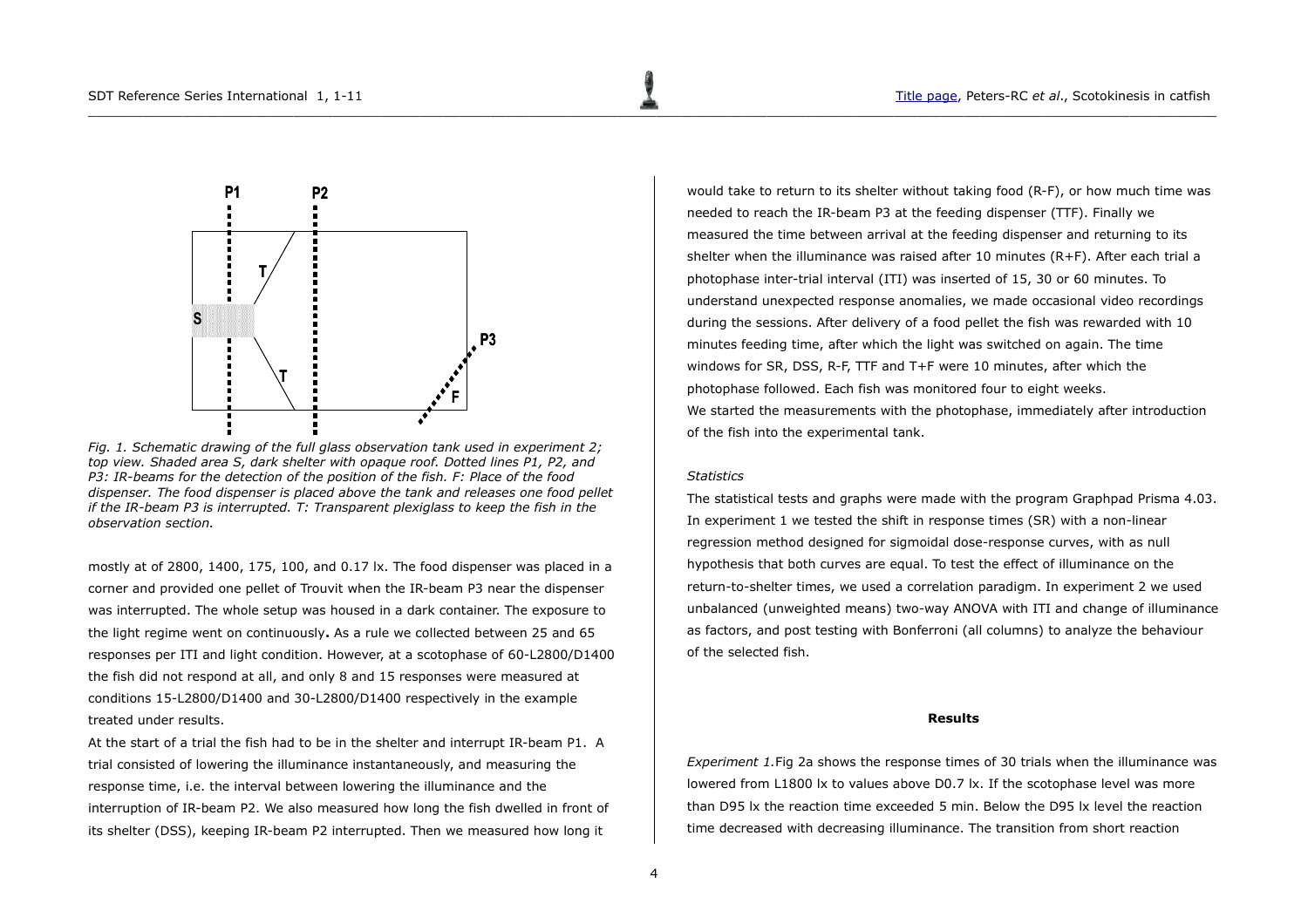

*Fig. 1. Schematic drawing of the full glass observation tank used in experiment 2; top view. Shaded area S, dark shelter with opaque roof. Dotted lines P1, P2, and P3: IR-beams for the detection of the position of the fish. F: Place of the food dispenser. The food dispenser is placed above the tank and releases one food pellet if the IR-beam P3 is interrupted. T: Transparent plexiglass to keep the fish in the observation section.*

mostly at of 2800, 1400, 175, 100, and 0.17 lx. The food dispenser was placed in a corner and provided one pellet of Trouvit when the IR-beam P3 near the dispenser was interrupted. The whole setup was housed in a dark container. The exposure to the light regime went on continuously**.** As a rule we collected between 25 and 65 responses per ITI and light condition. However, at a scotophase of 60-L2800/D1400 the fish did not respond at all, and only 8 and 15 responses were measured at conditions 15-L2800/D1400 and 30-L2800/D1400 respectively in the example treated under results.

At the start of a trial the fish had to be in the shelter and interrupt IR-beam P1. A trial consisted of lowering the illuminance instantaneously, and measuring the response time, i.e. the interval between lowering the illuminance and the interruption of IR-beam P2. We also measured how long the fish dwelled in front of its shelter (DSS), keeping IR-beam P2 interrupted. Then we measured how long it

would take to return to its shelter without taking food (R-F), or how much time was needed to reach the IR-beam P3 at the feeding dispenser (TTF). Finally we measured the time between arrival at the feeding dispenser and returning to its shelter when the illuminance was raised after 10 minutes (R+F). After each trial a photophase inter-trial interval (ITI) was inserted of 15, 30 or 60 minutes. To understand unexpected response anomalies, we made occasional video recordings during the sessions. After delivery of a food pellet the fish was rewarded with 10 minutes feeding time, after which the light was switched on again. The time windows for SR, DSS, R-F, TTF and T+F were 10 minutes, after which the photophase followed. Each fish was monitored four to eight weeks. We started the measurements with the photophase, immediately after introduction of the fish into the experimental tank.

## *Statistics*

 $\Box$  . The contribution of the contribution of the contribution of the contribution of the contribution of the contribution of the contribution of the contribution of the contribution of the contribution of the contributi

The statistical tests and graphs were made with the program Graphpad Prisma 4.03. In experiment 1 we tested the shift in response times (SR) with a non-linear regression method designed for sigmoidal dose-response curves, with as null hypothesis that both curves are equal. To test the effect of illuminance on the return-to-shelter times, we used a correlation paradigm. In experiment 2 we used unbalanced (unweighted means) two-way ANOVA with ITI and change of illuminance as factors, and post testing with Bonferroni (all columns) to analyze the behaviour of the selected fish.

### <span id="page-3-0"></span>**Results**

*Experiment 1.*Fig 2a shows the response times of 30 trials when the illuminance was lowered from L1800 lx to values above D0.7 lx. If the scotophase level was more than D95 lx the reaction time exceeded 5 min. Below the D95 lx level the reaction time decreased with decreasing illuminance. The transition from short reaction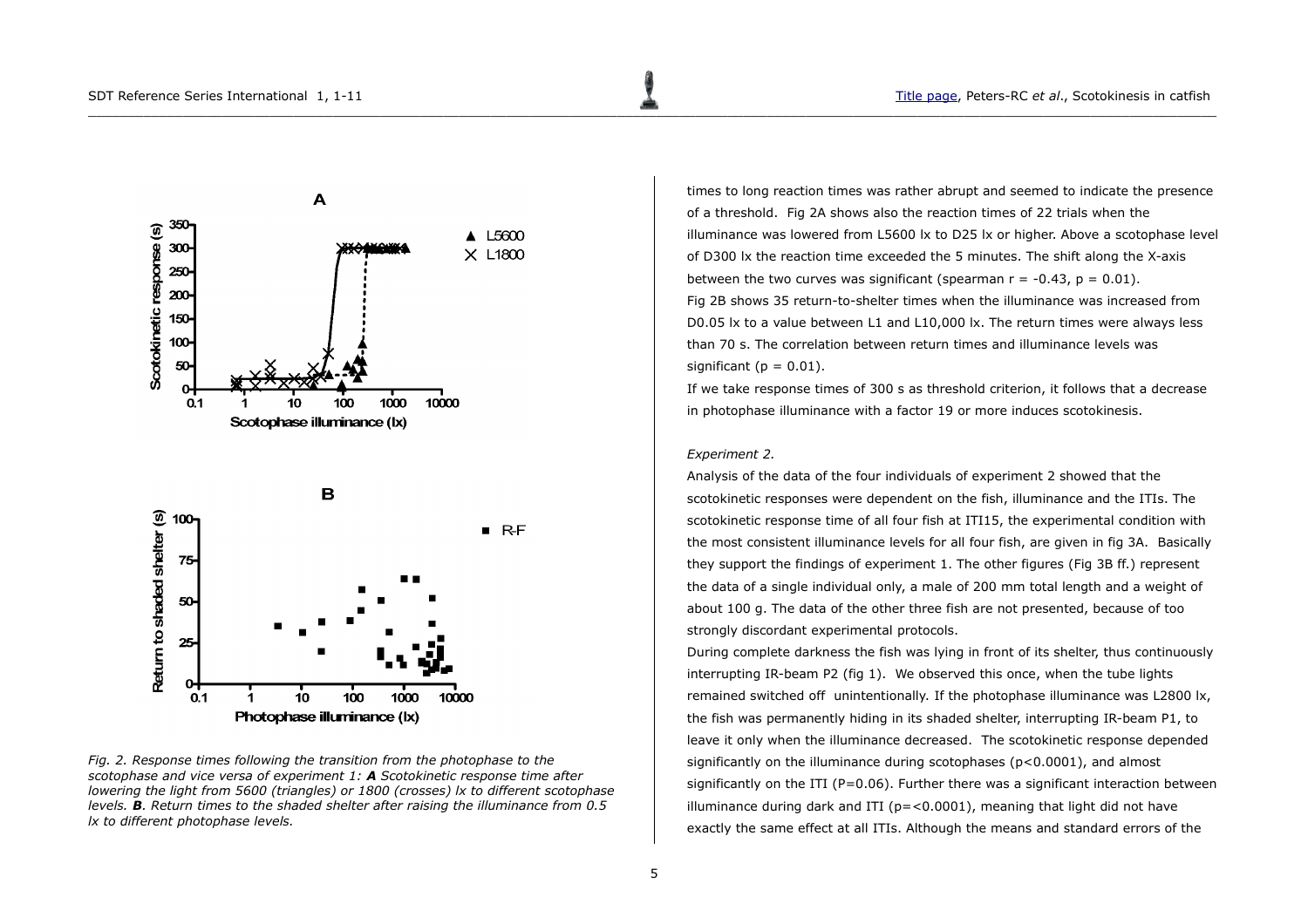

*Fig. 2. Response times following the transition from the photophase to the scotophase and vice versa of experiment 1: A Scotokinetic response time after lowering the light from 5600 (triangles) or 1800 (crosses) lx to different scotophase levels. B. Return times to the shaded shelter after raising the illuminance from 0.5 lx to different photophase levels.* 

times to long reaction times was rather abrupt and seemed to indicate the presence of a threshold. Fig 2A shows also the reaction times of 22 trials when the illuminance was lowered from L5600 lx to D25 lx or higher. Above a scotophase level of D300 lx the reaction time exceeded the 5 minutes. The shift along the X-axis between the two curves was significant (spearman  $r = -0.43$ ,  $p = 0.01$ ). Fig 2B shows 35 return-to-shelter times when the illuminance was increased from D0.05 lx to a value between L1 and L10,000 lx. The return times were always less than 70 s. The correlation between return times and illuminance levels was significant ( $p = 0.01$ ).

If we take response times of 300 s as threshold criterion, it follows that a decrease in photophase illuminance with a factor 19 or more induces scotokinesis.

### *Experiment 2.*

 $\Box$  . The contribution of the contribution of the contribution of the contribution of the contribution of the contribution of the contribution of the contribution of the contribution of the contribution of the contributi

Analysis of the data of the four individuals of experiment 2 showed that the scotokinetic responses were dependent on the fish, illuminance and the ITIs. The scotokinetic response time of all four fish at ITI15, the experimental condition with the most consistent illuminance levels for all four fish, are given in fig 3A. Basically they support the findings of experiment 1. The other figures (Fig 3B ff.) represent the data of a single individual only, a male of 200 mm total length and a weight of about 100 g. The data of the other three fish are not presented, because of too strongly discordant experimental protocols.

During complete darkness the fish was lying in front of its shelter, thus continuously interrupting IR-beam P2 (fig 1). We observed this once, when the tube lights remained switched off unintentionally. If the photophase illuminance was L2800 lx, the fish was permanently hiding in its shaded shelter, interrupting IR-beam P1, to leave it only when the illuminance decreased. The scotokinetic response depended significantly on the illuminance during scotophases (p<0.0001), and almost significantly on the ITI ( $P=0.06$ ). Further there was a significant interaction between illuminance during dark and ITI ( $p = < 0.0001$ ), meaning that light did not have exactly the same effect at all ITIs. Although the means and standard errors of the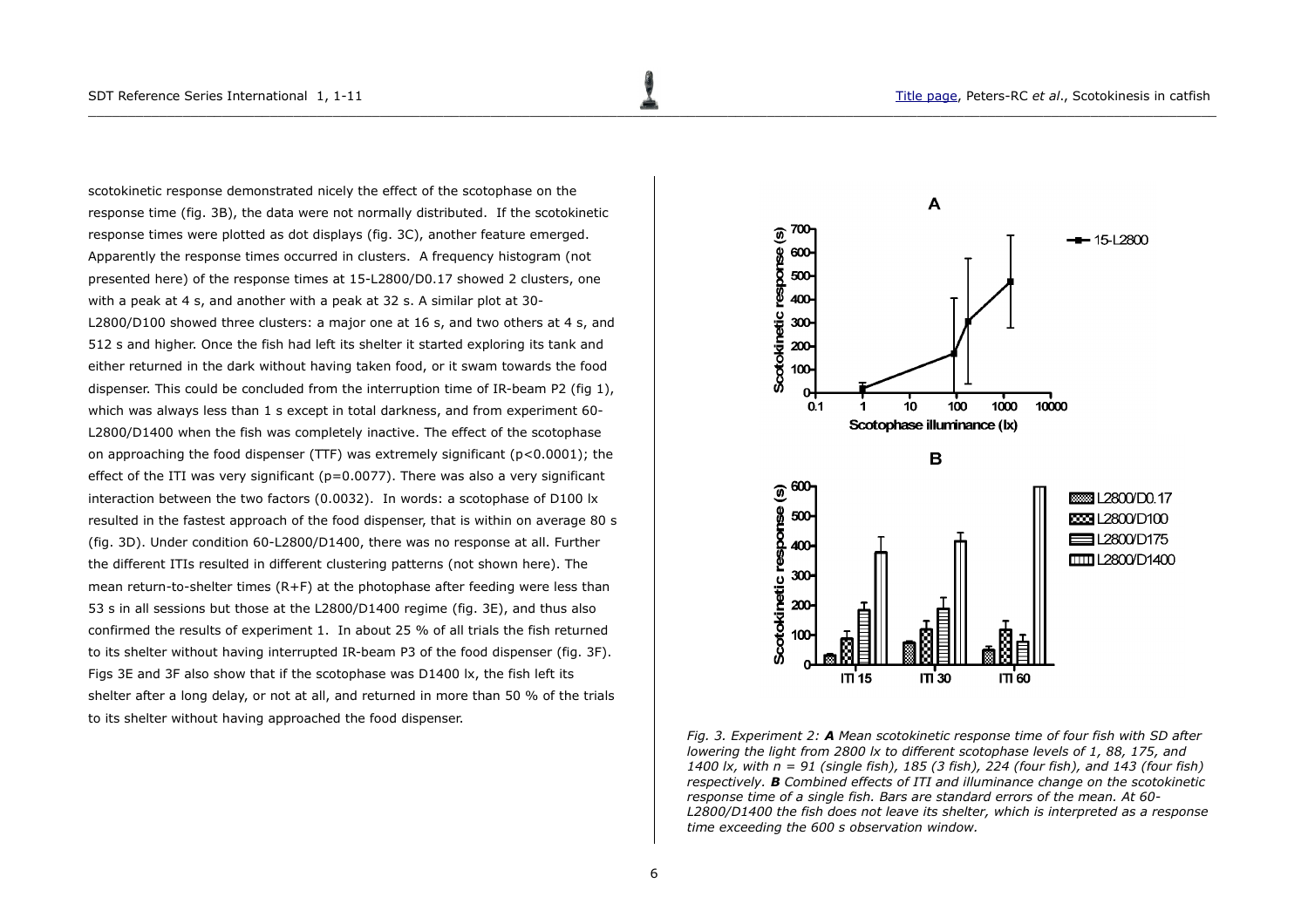scotokinetic response demonstrated nicely the effect of the scotophase on the response time (fig. 3B), the data were not normally distributed. If the scotokinetic response times were plotted as dot displays (fig. 3C), another feature emerged. Apparently the response times occurred in clusters. A frequency histogram (not presented here) of the response times at 15-L2800/D0.17 showed 2 clusters, one with a peak at 4 s, and another with a peak at 32 s. A similar plot at 30- L2800/D100 showed three clusters: a major one at 16 s, and two others at 4 s, and 512 s and higher. Once the fish had left its shelter it started exploring its tank and either returned in the dark without having taken food, or it swam towards the food dispenser. This could be concluded from the interruption time of IR-beam P2 (fig 1), which was always less than 1 s except in total darkness, and from experiment 60- L2800/D1400 when the fish was completely inactive. The effect of the scotophase on approaching the food dispenser (TTF) was extremely significant (p<0.0001); the effect of the ITI was very significant ( $p=0.0077$ ). There was also a very significant interaction between the two factors (0.0032). In words: a scotophase of D100 lx resulted in the fastest approach of the food dispenser, that is within on average 80 s (fig. 3D). Under condition 60-L2800/D1400, there was no response at all. Further the different ITIs resulted in different clustering patterns (not shown here). The mean return-to-shelter times (R+F) at the photophase after feeding were less than 53 s in all sessions but those at the L2800/D1400 regime (fig. 3E), and thus also confirmed the results of experiment 1. In about 25 % of all trials the fish returned to its shelter without having interrupted IR-beam P3 of the food dispenser (fig. 3F). Figs 3E and 3F also show that if the scotophase was D1400 lx, the fish left its shelter after a long delay, or not at all, and returned in more than 50 % of the trials to its shelter without having approached the food dispenser.



*Fig. 3. Experiment 2: A Mean scotokinetic response time of four fish with SD after lowering the light from 2800 lx to different scotophase levels of 1, 88, 175, and 1400 lx, with n = 91 (single fish), 185 (3 fish), 224 (four fish), and 143 (four fish) respectively. B Combined effects of ITI and illuminance change on the scotokinetic response time of a single fish. Bars are standard errors of the mean. At 60- L2800/D1400 the fish does not leave its shelter, which is interpreted as a response time exceeding the 600 s observation window.*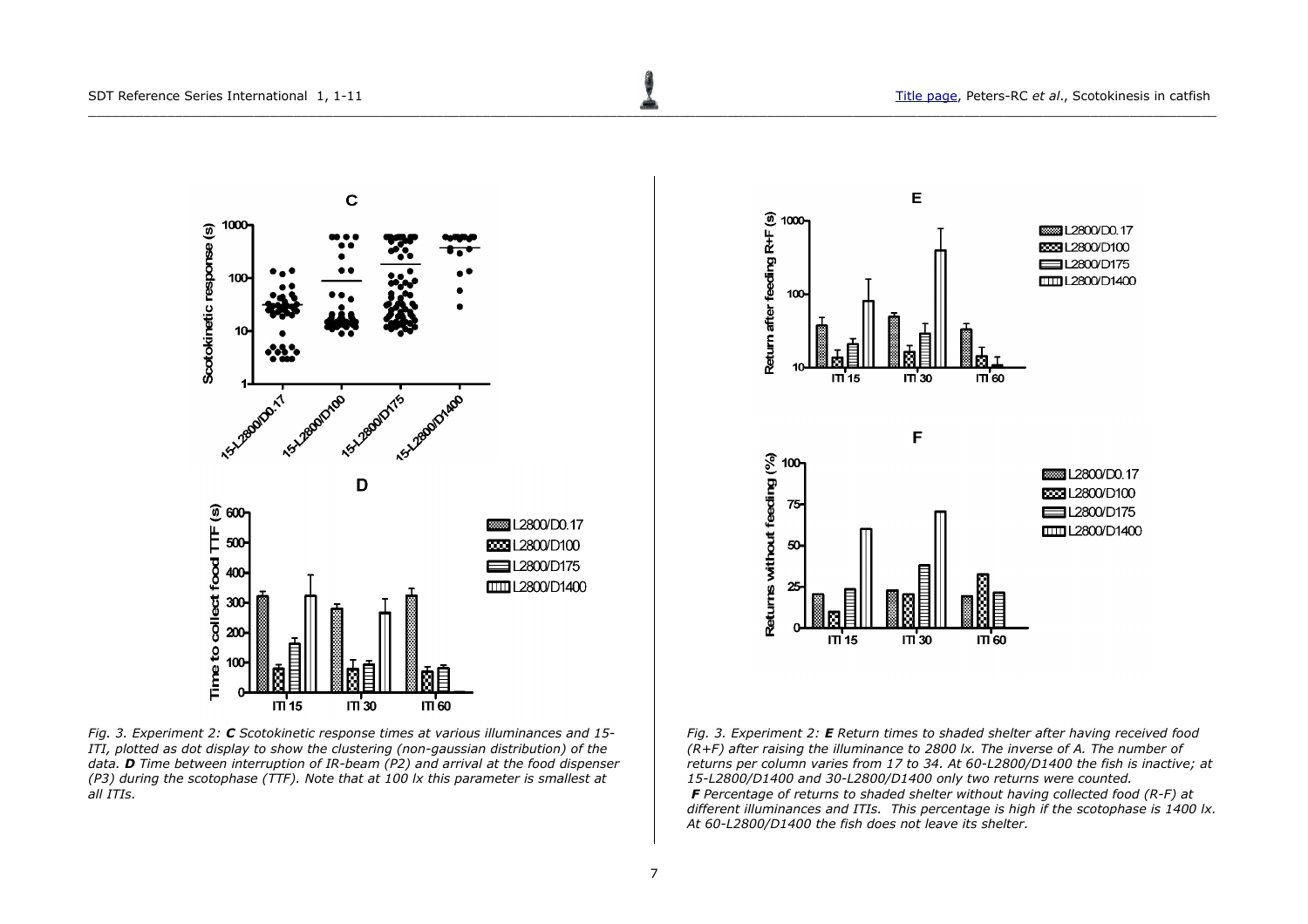

*Fig. 3. Experiment 2: C Scotokinetic response times at various illuminances and 15- ITI, plotted as dot display to show the clustering (non-gaussian distribution) of the data. D Time between interruption of IR-beam (P2) and arrival at the food dispenser (P3) during the scotophase (TTF). Note that at 100 lx this parameter is smallest at all ITIs.*



*Fig. 3. Experiment 2: E Return times to shaded shelter after having received food (R+F) after raising the illuminance to 2800 lx. The inverse of A. The number of returns per column varies from 17 to 34. At 60-L2800/D1400 the fish is inactive; at 15-L2800/D1400 and 30-L2800/D1400 only two returns were counted. F Percentage of returns to shaded shelter without having collected food (R-F) at different illuminances and ITIs. This percentage is high if the scotophase is 1400 lx. At 60-L2800/D1400 the fish does not leave its shelter.*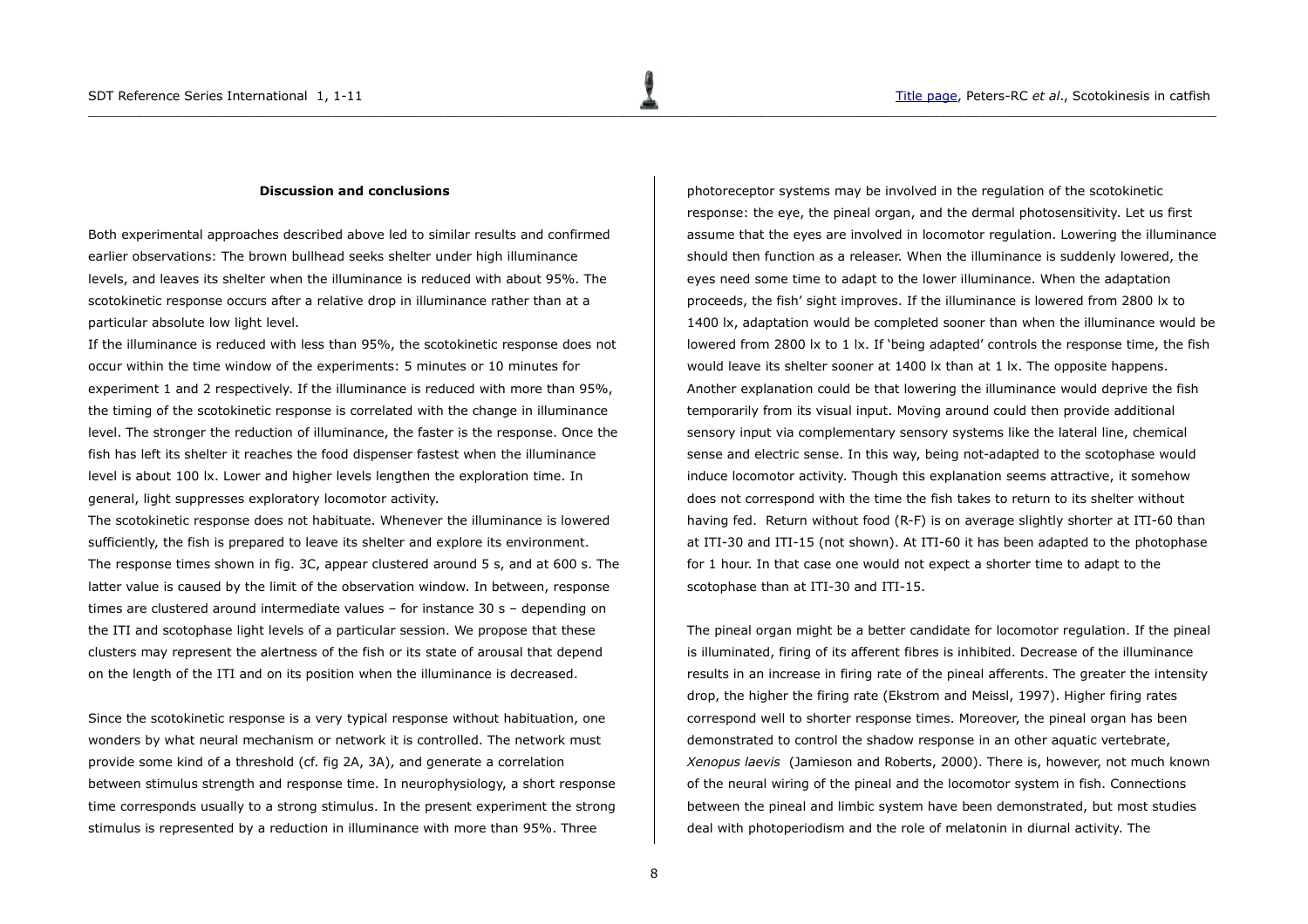### <span id="page-7-0"></span>**Discussion and conclusions**

Both experimental approaches described above led to similar results and confirmed earlier observations: The brown bullhead seeks shelter under high illuminance levels, and leaves its shelter when the illuminance is reduced with about 95%. The scotokinetic response occurs after a relative drop in illuminance rather than at a particular absolute low light level.

If the illuminance is reduced with less than 95%, the scotokinetic response does not occur within the time window of the experiments: 5 minutes or 10 minutes for experiment 1 and 2 respectively. If the illuminance is reduced with more than 95%, the timing of the scotokinetic response is correlated with the change in illuminance level. The stronger the reduction of illuminance, the faster is the response. Once the fish has left its shelter it reaches the food dispenser fastest when the illuminance level is about 100 lx. Lower and higher levels lengthen the exploration time. In general, light suppresses exploratory locomotor activity.

The scotokinetic response does not habituate. Whenever the illuminance is lowered sufficiently, the fish is prepared to leave its shelter and explore its environment. The response times shown in fig. 3C, appear clustered around 5 s, and at 600 s. The latter value is caused by the limit of the observation window. In between, response times are clustered around intermediate values – for instance 30 s – depending on the ITI and scotophase light levels of a particular session. We propose that these clusters may represent the alertness of the fish or its state of arousal that depend on the length of the ITI and on its position when the illuminance is decreased.

Since the scotokinetic response is a very typical response without habituation, one wonders by what neural mechanism or network it is controlled. The network must provide some kind of a threshold (cf. fig 2A, 3A), and generate a correlation between stimulus strength and response time. In neurophysiology, a short response time corresponds usually to a strong stimulus. In the present experiment the strong stimulus is represented by a reduction in illuminance with more than 95%. Three

photoreceptor systems may be involved in the regulation of the scotokinetic response: the eye, the pineal organ, and the dermal photosensitivity. Let us first assume that the eyes are involved in locomotor regulation. Lowering the illuminance should then function as a releaser. When the illuminance is suddenly lowered, the eyes need some time to adapt to the lower illuminance. When the adaptation proceeds, the fish' sight improves. If the illuminance is lowered from 2800 lx to 1400 lx, adaptation would be completed sooner than when the illuminance would be lowered from 2800 lx to 1 lx. If 'being adapted' controls the response time, the fish would leave its shelter sooner at 1400 lx than at 1 lx. The opposite happens. Another explanation could be that lowering the illuminance would deprive the fish temporarily from its visual input. Moving around could then provide additional sensory input via complementary sensory systems like the lateral line, chemical sense and electric sense. In this way, being not-adapted to the scotophase would induce locomotor activity. Though this explanation seems attractive, it somehow does not correspond with the time the fish takes to return to its shelter without having fed. Return without food (R-F) is on average slightly shorter at ITI-60 than at ITI-30 and ITI-15 (not shown). At ITI-60 it has been adapted to the photophase for 1 hour. In that case one would not expect a shorter time to adapt to the scotophase than at ITI-30 and ITI-15.

The pineal organ might be a better candidate for locomotor regulation. If the pineal is illuminated, firing of its afferent fibres is inhibited. Decrease of the illuminance results in an increase in firing rate of the pineal afferents. The greater the intensity drop, the higher the firing rate (Ekstrom and Meissl, 1997). Higher firing rates correspond well to shorter response times. Moreover, the pineal organ has been demonstrated to control the shadow response in an other aquatic vertebrate, *Xenopus laevis* (Jamieson and Roberts, 2000). There is, however, not much known of the neural wiring of the pineal and the locomotor system in fish. Connections between the pineal and limbic system have been demonstrated, but most studies deal with photoperiodism and the role of melatonin in diurnal activity. The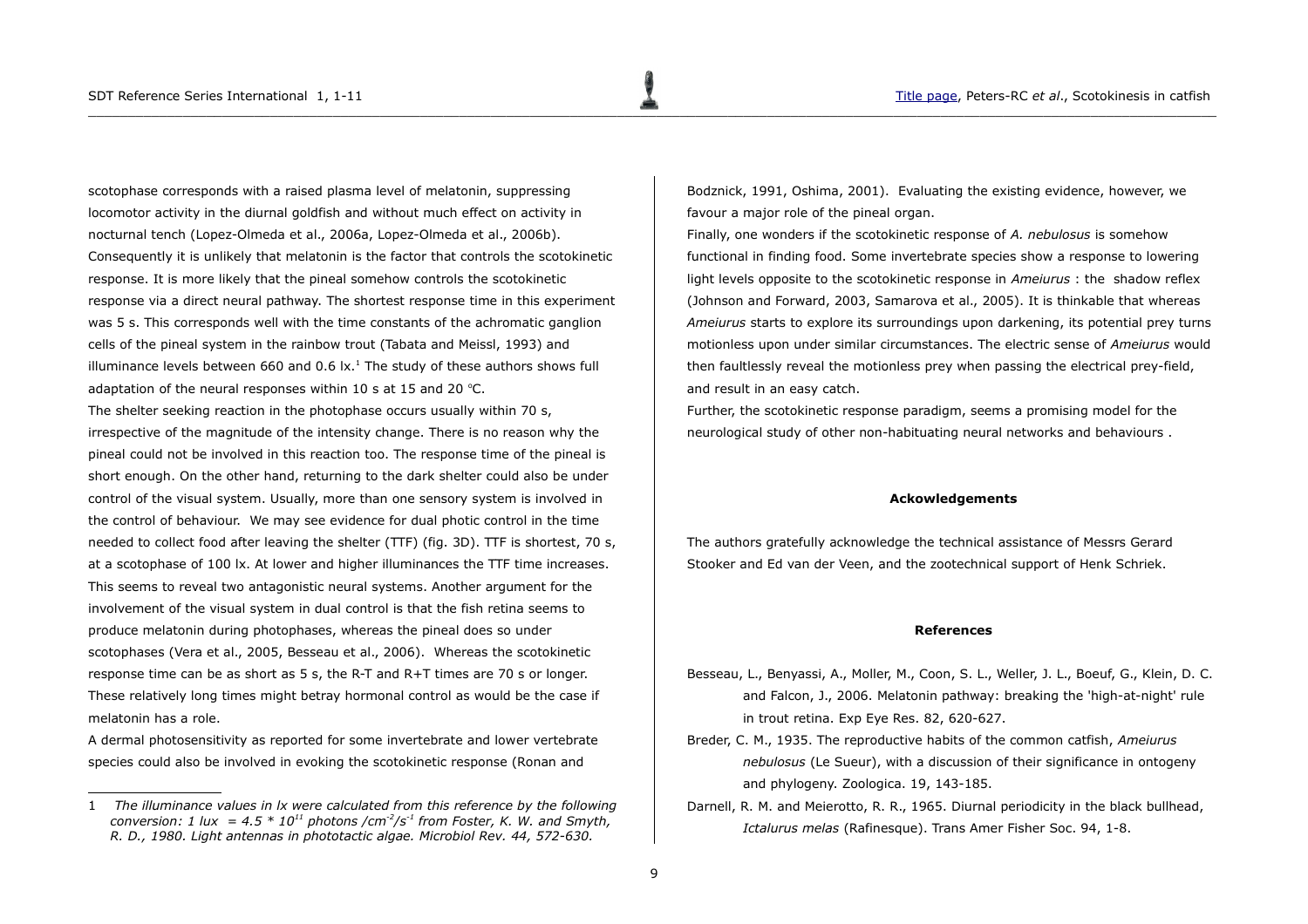scotophase corresponds with a raised plasma level of melatonin, suppressing locomotor activity in the diurnal goldfish and without much effect on activity in nocturnal tench (Lopez-Olmeda et al., 2006a, Lopez-Olmeda et al., 2006b). Consequently it is unlikely that melatonin is the factor that controls the scotokinetic response. It is more likely that the pineal somehow controls the scotokinetic response via a direct neural pathway. The shortest response time in this experiment was 5 s. This corresponds well with the time constants of the achromatic ganglion cells of the pineal system in the rainbow trout (Tabata and Meissl, 1993) and illuminance levels between 660 and 0.6  $\mathrm{lx}$ .<sup>[1](#page-8-2)</sup> The study of these authors shows full adaptation of the neural responses within 10 s at 15 and 20  $^{\circ}$ C. The shelter seeking reaction in the photophase occurs usually within 70 s, irrespective of the magnitude of the intensity change. There is no reason why the pineal could not be involved in this reaction too. The response time of the pineal is short enough. On the other hand, returning to the dark shelter could also be under control of the visual system. Usually, more than one sensory system is involved in the control of behaviour. We may see evidence for dual photic control in the time needed to collect food after leaving the shelter (TTF) (fig. 3D). TTF is shortest, 70 s, at a scotophase of 100 lx. At lower and higher illuminances the TTF time increases. This seems to reveal two antagonistic neural systems. Another argument for the involvement of the visual system in dual control is that the fish retina seems to produce melatonin during photophases, whereas the pineal does so under scotophases (Vera et al., 2005, Besseau et al., 2006). Whereas the scotokinetic response time can be as short as 5 s, the R-T and R+T times are 70 s or longer. These relatively long times might betray hormonal control as would be the case if melatonin has a role.

A dermal photosensitivity as reported for some invertebrate and lower vertebrate species could also be involved in evoking the scotokinetic response (Ronan and

Bodznick, 1991, Oshima, 2001). Evaluating the existing evidence, however, we favour a major role of the pineal organ.

Finally, one wonders if the scotokinetic response of *A. nebulosus* is somehow functional in finding food. Some invertebrate species show a response to lowering light levels opposite to the scotokinetic response in *Ameiurus* : the shadow reflex (Johnson and Forward, 2003, Samarova et al., 2005). It is thinkable that whereas *Ameiurus* starts to explore its surroundings upon darkening, its potential prey turns motionless upon under similar circumstances. The electric sense of *Ameiurus* would then faultlessly reveal the motionless prey when passing the electrical prey-field, and result in an easy catch.

Further, the scotokinetic response paradigm, seems a promising model for the neurological study of other non-habituating neural networks and behaviours .

#### <span id="page-8-0"></span>**Ackowledgements**

The authors gratefully acknowledge the technical assistance of Messrs Gerard Stooker and Ed van der Veen, and the zootechnical support of Henk Schriek.

#### <span id="page-8-1"></span>**References**

- Besseau, L., Benyassi, A., Moller, M., Coon, S. L., Weller, J. L., Boeuf, G., Klein, D. C. and Falcon, J., 2006. Melatonin pathway: breaking the 'high-at-night' rule in trout retina. Exp Eye Res. 82, 620-627.
- Breder, C. M., 1935. The reproductive habits of the common catfish, *Ameiurus nebulosus* (Le Sueur), with a discussion of their significance in ontogeny and phylogeny. Zoologica. 19, 143-185.
- Darnell, R. M. and Meierotto, R. R., 1965. Diurnal periodicity in the black bullhead, *Ictalurus melas* (Rafinesque). Trans Amer Fisher Soc. 94, 1-8.

<span id="page-8-2"></span><sup>1</sup> *The illuminance values in lx were calculated from this reference by the following conversion: 1 lux = 4.5*  $*$  *10<sup>11</sup> photons /cm<sup>-2</sup>/s<sup>-1</sup> from Foster, K. W. and Smyth, R. D., 1980. Light antennas in phototactic algae. Microbiol Rev. 44, 572-630.*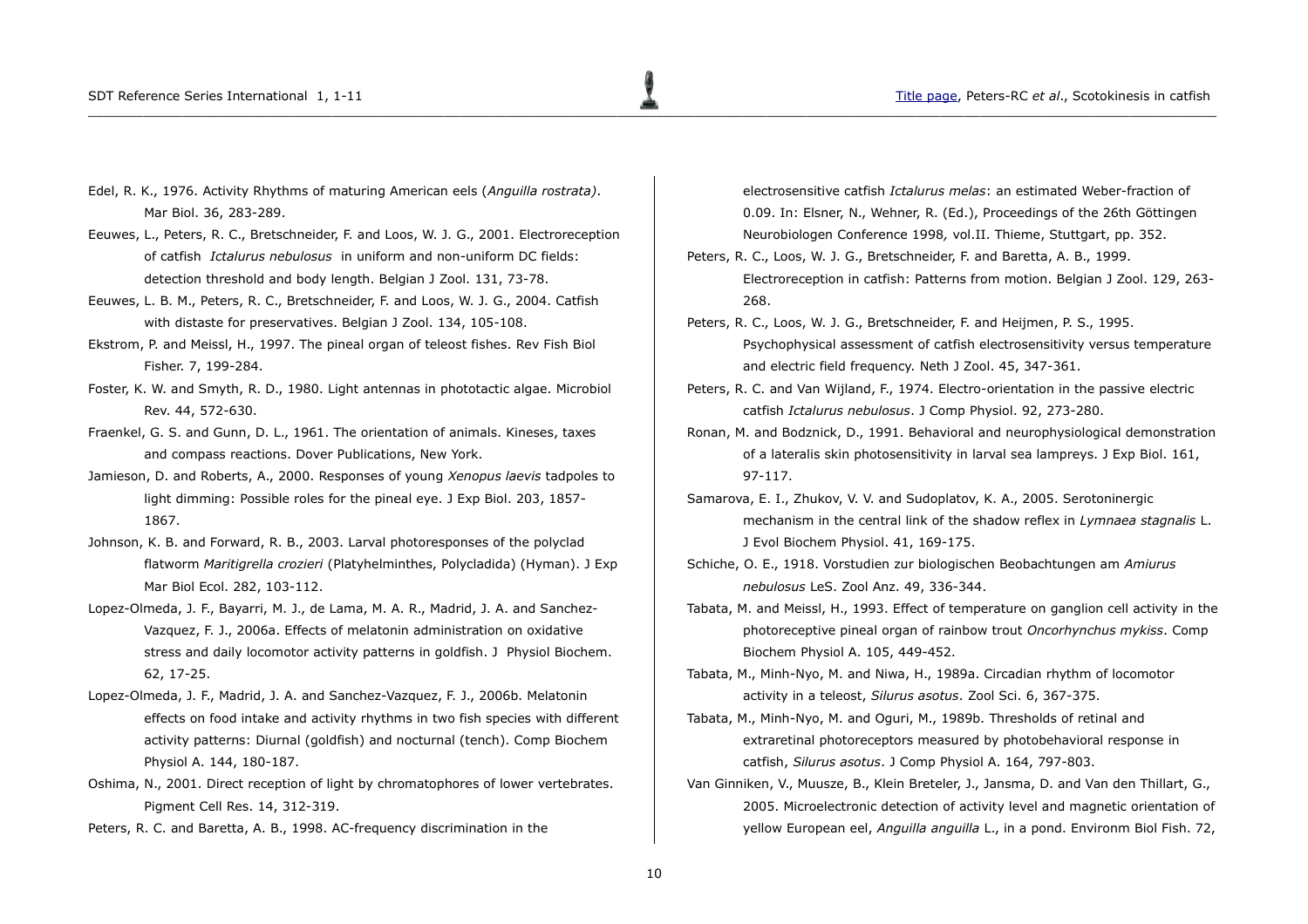- Edel, R. K., 1976. Activity Rhythms of maturing American eels (*Anguilla rostrata)*. Mar Biol. 36, 283-289.
- Eeuwes, L., Peters, R. C., Bretschneider, F. and Loos, W. J. G., 2001. Electroreception of catfish *Ictalurus nebulosus* in uniform and non-uniform DC fields: detection threshold and body length. Belgian J Zool. 131, 73-78.
- Eeuwes, L. B. M., Peters, R. C., Bretschneider, F. and Loos, W. J. G., 2004. Catfish with distaste for preservatives. Belgian J Zool. 134, 105-108.
- Ekstrom, P. and Meissl, H., 1997. The pineal organ of teleost fishes. Rev Fish Biol Fisher. 7, 199-284.
- Foster, K. W. and Smyth, R. D., 1980. Light antennas in phototactic algae. Microbiol Rev. 44, 572-630.
- Fraenkel, G. S. and Gunn, D. L., 1961. The orientation of animals. Kineses, taxes and compass reactions. Dover Publications, New York.
- Jamieson, D. and Roberts, A., 2000. Responses of young *Xenopus laevis* tadpoles to light dimming: Possible roles for the pineal eye. J Exp Biol. 203, 1857- 1867.
- Johnson, K. B. and Forward, R. B., 2003. Larval photoresponses of the polyclad flatworm *Maritigrella crozieri* (Platyhelminthes, Polycladida) (Hyman). J Exp Mar Biol Ecol. 282, 103-112.
- Lopez-Olmeda, J. F., Bayarri, M. J., de Lama, M. A. R., Madrid, J. A. and Sanchez-Vazquez, F. J., 2006a. Effects of melatonin administration on oxidative stress and daily locomotor activity patterns in goldfish. J Physiol Biochem. 62, 17-25.
- Lopez-Olmeda, J. F., Madrid, J. A. and Sanchez-Vazquez, F. J., 2006b. Melatonin effects on food intake and activity rhythms in two fish species with different activity patterns: Diurnal (goldfish) and nocturnal (tench). Comp Biochem Physiol A. 144, 180-187.
- Oshima, N., 2001. Direct reception of light by chromatophores of lower vertebrates. Pigment Cell Res. 14, 312-319.
- Peters, R. C. and Baretta, A. B., 1998. AC-frequency discrimination in the

electrosensitive catfish *Ictalurus melas*: an estimated Weber-fraction of 0.09. In: Elsner, N., Wehner, R. (Ed.), Proceedings of the 26th Göttingen Neurobiologen Conference 1998*,* vol.II. Thieme, Stuttgart, pp. 352.

- Peters, R. C., Loos, W. J. G., Bretschneider, F. and Baretta, A. B., 1999. Electroreception in catfish: Patterns from motion. Belgian J Zool. 129, 263- 268.
- Peters, R. C., Loos, W. J. G., Bretschneider, F. and Heijmen, P. S., 1995. Psychophysical assessment of catfish electrosensitivity versus temperature and electric field frequency. Neth J Zool. 45, 347-361.
- Peters, R. C. and Van Wijland, F., 1974. Electro-orientation in the passive electric catfish *Ictalurus nebulosus*. J Comp Physiol. 92, 273-280.
- Ronan, M. and Bodznick, D., 1991. Behavioral and neurophysiological demonstration of a lateralis skin photosensitivity in larval sea lampreys. J Exp Biol. 161, 97-117.
- Samarova, E. I., Zhukov, V. V. and Sudoplatov, K. A., 2005. Serotoninergic mechanism in the central link of the shadow reflex in *Lymnaea stagnalis* L. J Evol Biochem Physiol. 41, 169-175.
- Schiche, O. E., 1918. Vorstudien zur biologischen Beobachtungen am *Amiurus nebulosus* LeS. Zool Anz. 49, 336-344.
- Tabata, M. and Meissl, H., 1993. Effect of temperature on ganglion cell activity in the photoreceptive pineal organ of rainbow trout *Oncorhynchus mykiss*. Comp Biochem Physiol A. 105, 449-452.
- Tabata, M., Minh-Nyo, M. and Niwa, H., 1989a. Circadian rhythm of locomotor activity in a teleost, *Silurus asotus*. Zool Sci. 6, 367-375.
- Tabata, M., Minh-Nyo, M. and Oguri, M., 1989b. Thresholds of retinal and extraretinal photoreceptors measured by photobehavioral response in catfish, *Silurus asotus*. J Comp Physiol A. 164, 797-803.
- Van Ginniken, V., Muusze, B., Klein Breteler, J., Jansma, D. and Van den Thillart, G., 2005. Microelectronic detection of activity level and magnetic orientation of yellow European eel, *Anguilla anguilla* L., in a pond. Environm Biol Fish. 72,